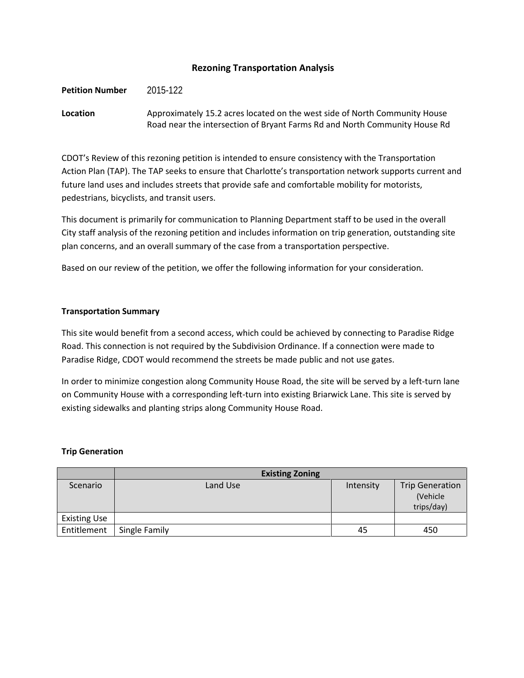### **Rezoning Transportation Analysis**

**Petition Number** 2015-122

## **Location** Approximately 15.2 acres located on the west side of North Community House Road near the intersection of Bryant Farms Rd and North Community House Rd

CDOT's Review of this rezoning petition is intended to ensure consistency with the Transportation Action Plan (TAP). The TAP seeks to ensure that Charlotte's transportation network supports current and future land uses and includes streets that provide safe and comfortable mobility for motorists, pedestrians, bicyclists, and transit users.

This document is primarily for communication to Planning Department staff to be used in the overall City staff analysis of the rezoning petition and includes information on trip generation, outstanding site plan concerns, and an overall summary of the case from a transportation perspective.

Based on our review of the petition, we offer the following information for your consideration.

#### **Transportation Summary**

This site would benefit from a second access, which could be achieved by connecting to Paradise Ridge Road. This connection is not required by the Subdivision Ordinance. If a connection were made to Paradise Ridge, CDOT would recommend the streets be made public and not use gates.

In order to minimize congestion along Community House Road, the site will be served by a left-turn lane on Community House with a corresponding left-turn into existing Briarwick Lane. This site is served by existing sidewalks and planting strips along Community House Road.

#### **Trip Generation**

|                     | <b>Existing Zoning</b> |           |                                                  |
|---------------------|------------------------|-----------|--------------------------------------------------|
| Scenario            | Land Use               | Intensity | <b>Trip Generation</b><br>(Vehicle<br>trips/day) |
| <b>Existing Use</b> |                        |           |                                                  |
| Entitlement         | Single Family          | 45        | 450                                              |